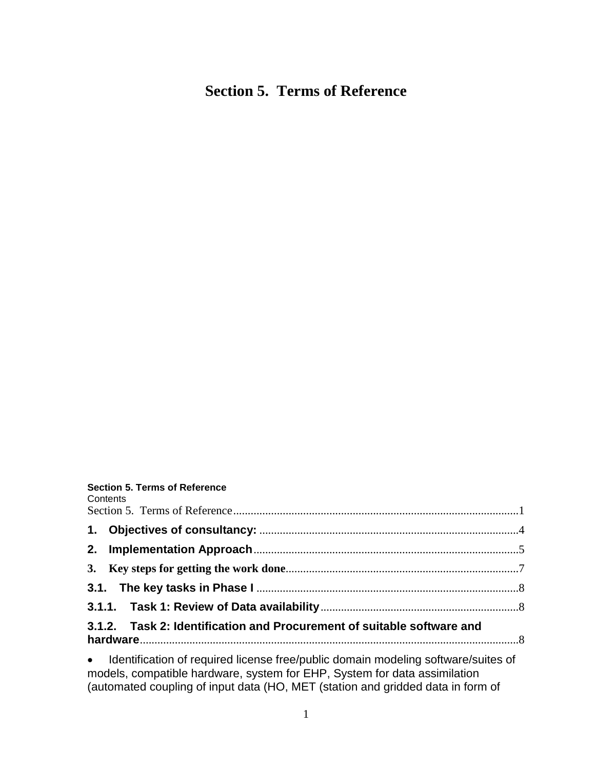# <span id="page-0-0"></span>**Section 5. Terms of Reference**

## **Section 5. Terms of Reference**

Contents

| CONTENTS                                                                                                                                                                                                                       |  |
|--------------------------------------------------------------------------------------------------------------------------------------------------------------------------------------------------------------------------------|--|
|                                                                                                                                                                                                                                |  |
|                                                                                                                                                                                                                                |  |
|                                                                                                                                                                                                                                |  |
|                                                                                                                                                                                                                                |  |
|                                                                                                                                                                                                                                |  |
| 3.1.2. Task 2: Identification and Procurement of suitable software and                                                                                                                                                         |  |
| المالية والمتحرق المتحرق والمتحرق والمتحرق والمتحرق والمتحرق والمتحرق والمتحرق والمتحرق والمتحرق والمتحرق والمتحرق والمتحرق والمتحرق والمتحرق والمتحرق والمتحرق والمتحرق والمتحرق والمتحرق والمتحرق والمتحرق والمتحرق والمتحرق |  |

 [Identification of required license free/public domain modeling software/suites of](#page-7-3)  [models, compatible hardware, system for EHP, System for data assimilation](#page-7-3)  [\(automated coupling of input data \(HO, MET \(station and gridded data in form of](#page-7-3)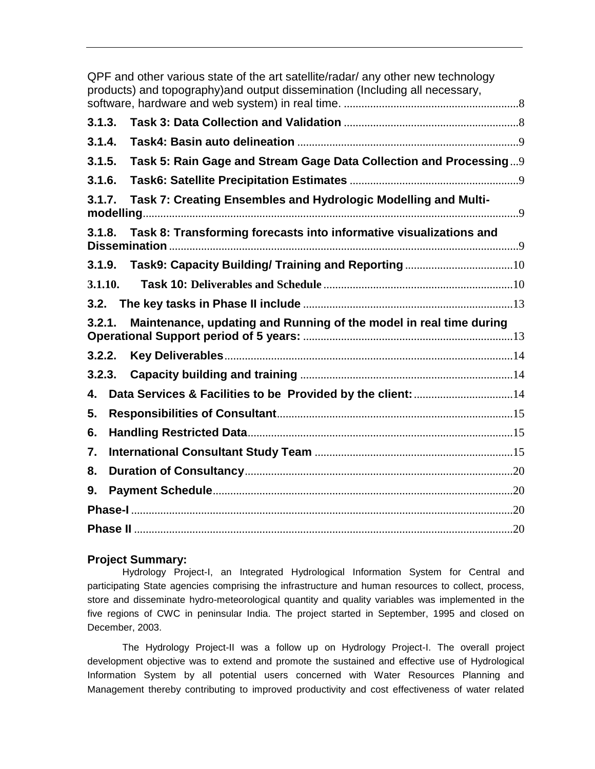|         | QPF and other various state of the art satellite/radar/ any other new technology<br>products) and topography) and output dissemination (Including all necessary, |
|---------|------------------------------------------------------------------------------------------------------------------------------------------------------------------|
| 3.1.3.  |                                                                                                                                                                  |
| 3.1.4.  |                                                                                                                                                                  |
| 3.1.5.  | Task 5: Rain Gage and Stream Gage Data Collection and Processing9                                                                                                |
| 3.1.6.  |                                                                                                                                                                  |
| 3.1.7.  | Task 7: Creating Ensembles and Hydrologic Modelling and Multi-                                                                                                   |
| 3.1.8.  | Task 8: Transforming forecasts into informative visualizations and                                                                                               |
| 3.1.9.  |                                                                                                                                                                  |
| 3.1.10. |                                                                                                                                                                  |
| 3.2.    |                                                                                                                                                                  |
| 3.2.1.  | Maintenance, updating and Running of the model in real time during                                                                                               |
| 3.2.2.  |                                                                                                                                                                  |
| 3.2.3.  |                                                                                                                                                                  |
| 4.      |                                                                                                                                                                  |
| 5.      |                                                                                                                                                                  |
| 6.      |                                                                                                                                                                  |
| 7.      |                                                                                                                                                                  |
| 8.      |                                                                                                                                                                  |
| 9.      |                                                                                                                                                                  |
|         |                                                                                                                                                                  |
|         |                                                                                                                                                                  |

# **Project Summary:**

Hydrology Project-I, an Integrated Hydrological Information System for Central and participating State agencies comprising the infrastructure and human resources to collect, process, store and disseminate hydro-meteorological quantity and quality variables was implemented in the five regions of CWC in peninsular India. The project started in September, 1995 and closed on December, 2003.

The Hydrology Project-II was a follow up on Hydrology Project-I. The overall project development objective was to extend and promote the sustained and effective use of Hydrological Information System by all potential users concerned with Water Resources Planning and Management thereby contributing to improved productivity and cost effectiveness of water related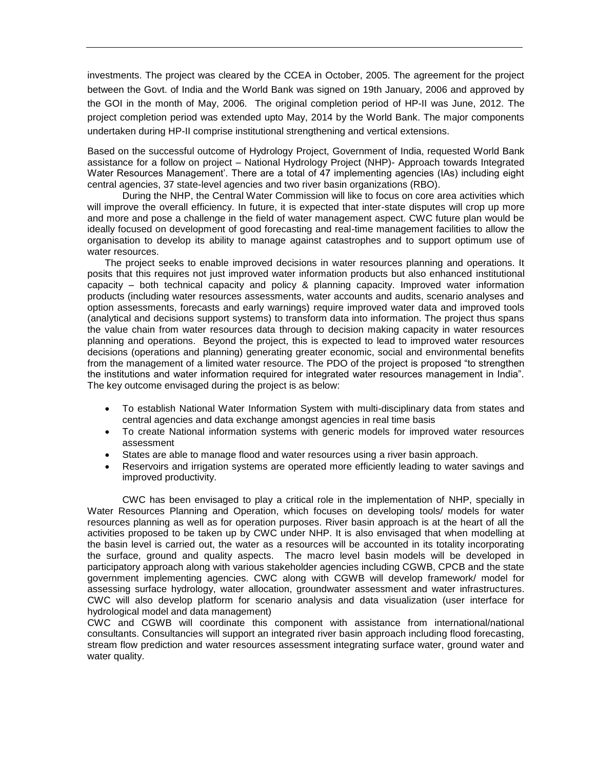investments. The project was cleared by the CCEA in October, 2005. The agreement for the project between the Govt. of India and the World Bank was signed on 19th January, 2006 and approved by the GOI in the month of May, 2006. The original completion period of HP-II was June, 2012. The project completion period was extended upto May, 2014 by the World Bank. The major components undertaken during HP-II comprise institutional strengthening and vertical extensions.

Based on the successful outcome of Hydrology Project, Government of India, requested World Bank assistance for a follow on project – National Hydrology Project (NHP)- Approach towards Integrated Water Resources Management'. There are a total of 47 implementing agencies (IAs) including eight central agencies, 37 state-level agencies and two river basin organizations (RBO).

During the NHP, the Central Water Commission will like to focus on core area activities which will improve the overall efficiency. In future, it is expected that inter-state disputes will crop up more and more and pose a challenge in the field of water management aspect. CWC future plan would be ideally focused on development of good forecasting and real-time management facilities to allow the organisation to develop its ability to manage against catastrophes and to support optimum use of water resources.

The project seeks to enable improved decisions in water resources planning and operations. It posits that this requires not just improved water information products but also enhanced institutional capacity – both technical capacity and policy & planning capacity. Improved water information products (including water resources assessments, water accounts and audits, scenario analyses and option assessments, forecasts and early warnings) require improved water data and improved tools (analytical and decisions support systems) to transform data into information. The project thus spans the value chain from water resources data through to decision making capacity in water resources planning and operations. Beyond the project, this is expected to lead to improved water resources decisions (operations and planning) generating greater economic, social and environmental benefits from the management of a limited water resource. The PDO of the project is proposed "to strengthen the institutions and water information required for integrated water resources management in India". The key outcome envisaged during the project is as below:

- To establish National Water Information System with multi-disciplinary data from states and central agencies and data exchange amongst agencies in real time basis
- To create National information systems with generic models for improved water resources assessment
- States are able to manage flood and water resources using a river basin approach.
- Reservoirs and irrigation systems are operated more efficiently leading to water savings and improved productivity.

CWC has been envisaged to play a critical role in the implementation of NHP, specially in Water Resources Planning and Operation, which focuses on developing tools/ models for water resources planning as well as for operation purposes. River basin approach is at the heart of all the activities proposed to be taken up by CWC under NHP. It is also envisaged that when modelling at the basin level is carried out, the water as a resources will be accounted in its totality incorporating the surface, ground and quality aspects. The macro level basin models will be developed in participatory approach along with various stakeholder agencies including CGWB, CPCB and the state government implementing agencies. CWC along with CGWB will develop framework/ model for assessing surface hydrology, water allocation, groundwater assessment and water infrastructures. CWC will also develop platform for scenario analysis and data visualization (user interface for hydrological model and data management)

CWC and CGWB will coordinate this component with assistance from international/national consultants. Consultancies will support an integrated river basin approach including flood forecasting, stream flow prediction and water resources assessment integrating surface water, ground water and water quality.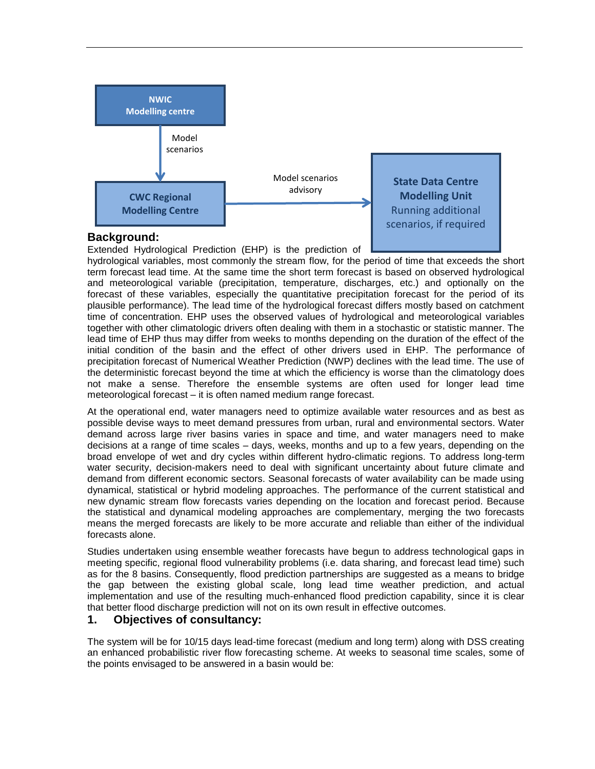

#### **Background:**

Extended Hydrological Prediction (EHP) is the prediction of

hydrological variables, most commonly the stream flow, for the period of time that exceeds the short term forecast lead time. At the same time the short term forecast is based on observed hydrological and meteorological variable (precipitation, temperature, discharges, etc.) and optionally on the forecast of these variables, especially the quantitative precipitation forecast for the period of its plausible performance). The lead time of the hydrological forecast differs mostly based on catchment time of concentration. EHP uses the observed values of hydrological and meteorological variables together with other climatologic drivers often dealing with them in a stochastic or statistic manner. The lead time of EHP thus may differ from weeks to months depending on the duration of the effect of the initial condition of the basin and the effect of other drivers used in EHP. The performance of precipitation forecast of Numerical Weather Prediction (NWP) declines with the lead time. The use of the deterministic forecast beyond the time at which the efficiency is worse than the climatology does not make a sense. Therefore the ensemble systems are often used for longer lead time meteorological forecast – it is often named medium range forecast.

At the operational end, water managers need to optimize available water resources and as best as possible devise ways to meet demand pressures from urban, rural and environmental sectors. Water demand across large river basins varies in space and time, and water managers need to make decisions at a range of time scales – days, weeks, months and up to a few years, depending on the broad envelope of wet and dry cycles within different hydro-climatic regions. To address long-term water security, decision-makers need to deal with significant uncertainty about future climate and demand from different economic sectors. Seasonal forecasts of water availability can be made using dynamical, statistical or hybrid modeling approaches. The performance of the current statistical and new dynamic stream flow forecasts varies depending on the location and forecast period. Because the statistical and dynamical modeling approaches are complementary, merging the two forecasts means the merged forecasts are likely to be more accurate and reliable than either of the individual forecasts alone.

Studies undertaken using ensemble weather forecasts have begun to address technological gaps in meeting specific, regional flood vulnerability problems (i.e. data sharing, and forecast lead time) such as for the 8 basins. Consequently, flood prediction partnerships are suggested as a means to bridge the gap between the existing global scale, long lead time weather prediction, and actual implementation and use of the resulting much-enhanced flood prediction capability, since it is clear that better flood discharge prediction will not on its own result in effective outcomes.

#### <span id="page-3-0"></span>**1. Objectives of consultancy:**

The system will be for 10/15 days lead-time forecast (medium and long term) along with DSS creating an enhanced probabilistic river flow forecasting scheme. At weeks to seasonal time scales, some of the points envisaged to be answered in a basin would be: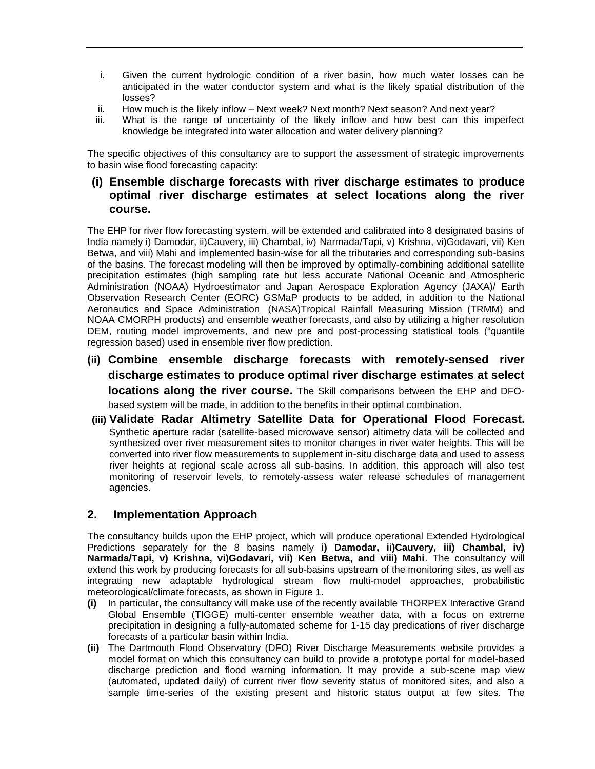- i. Given the current hydrologic condition of a river basin, how much water losses can be anticipated in the water conductor system and what is the likely spatial distribution of the losses?
- ii. How much is the likely inflow Next week? Next month? Next season? And next year?
- iii. What is the range of uncertainty of the likely inflow and how best can this imperfect knowledge be integrated into water allocation and water delivery planning?

The specific objectives of this consultancy are to support the assessment of strategic improvements to basin wise flood forecasting capacity:

# **(i) Ensemble discharge forecasts with river discharge estimates to produce optimal river discharge estimates at select locations along the river course.**

The EHP for river flow forecasting system, will be extended and calibrated into 8 designated basins of India namely i) Damodar, ii)Cauvery, iii) Chambal, iv) Narmada/Tapi, v) Krishna, vi)Godavari, vii) Ken Betwa, and viii) Mahi and implemented basin-wise for all the tributaries and corresponding sub-basins of the basins. The forecast modeling will then be improved by optimally-combining additional satellite precipitation estimates (high sampling rate but less accurate [National Oceanic and Atmospheric](https://www.google.co.in/url?sa=t&rct=j&q=&esrc=s&source=web&cd=1&cad=rja&uact=8&ved=0CB4QFjAAahUKEwjfvMugiZTHAhURbY4KHdceBzc&url=http%3A%2F%2Fwww.noaa.gov%2F&ei=SB_DVd_4CZHauQTXvZy4Aw&usg=AFQjCNHhu20zk4L6PnTELeuAaR7d1chRFw)  [Administration](https://www.google.co.in/url?sa=t&rct=j&q=&esrc=s&source=web&cd=1&cad=rja&uact=8&ved=0CB4QFjAAahUKEwjfvMugiZTHAhURbY4KHdceBzc&url=http%3A%2F%2Fwww.noaa.gov%2F&ei=SB_DVd_4CZHauQTXvZy4Aw&usg=AFQjCNHhu20zk4L6PnTELeuAaR7d1chRFw) (NOAA) Hydroestimator and Japan Aerospace Exploration Agency (JAXA)/ Earth Observation Research Center (EORC) GSMaP products to be added, in addition to the National Aeronautics and Space Administration (NASA)Tropical Rainfall Measuring Mission (TRMM) and NOAA CMORPH products) and ensemble weather forecasts, and also by utilizing a higher resolution DEM, routing model improvements, and new pre and post-processing statistical tools ("quantile regression based) used in ensemble river flow prediction.

- **(ii) Combine ensemble discharge forecasts with remotely-sensed river discharge estimates to produce optimal river discharge estimates at select locations along the river course.** The Skill comparisons between the EHP and DFObased system will be made, in addition to the benefits in their optimal combination.
- **(iii) Validate Radar Altimetry Satellite Data for Operational Flood Forecast.** Synthetic aperture radar (satellite-based microwave sensor) altimetry data will be collected and synthesized over river measurement sites to monitor changes in river water heights. This will be converted into river flow measurements to supplement in-situ discharge data and used to assess river heights at regional scale across all sub-basins. In addition, this approach will also test monitoring of reservoir levels, to remotely-assess water release schedules of management agencies.

# <span id="page-4-0"></span>**2. Implementation Approach**

The consultancy builds upon the EHP project, which will produce operational Extended Hydrological Predictions separately for the 8 basins namely **i) Damodar, ii)Cauvery, iii) Chambal, iv) Narmada/Tapi, v) Krishna, vi)Godavari, vii) Ken Betwa, and viii) Mahi**. The consultancy will extend this work by producing forecasts for all sub-basins upstream of the monitoring sites, as well as integrating new adaptable hydrological stream flow multi-model approaches, probabilistic meteorological/climate forecasts, as shown in Figure 1.

- **(i)** In particular, the consultancy will make use of the recently available THORPEX Interactive Grand Global Ensemble (TIGGE) multi-center ensemble weather data, with a focus on extreme precipitation in designing a fully-automated scheme for 1-15 day predications of river discharge forecasts of a particular basin within India.
- **(ii)** The Dartmouth Flood Observatory (DFO) River Discharge Measurements website provides a model format on which this consultancy can build to provide a prototype portal for model-based discharge prediction and flood warning information. It may provide a sub-scene map view (automated, updated daily) of current river flow severity status of monitored sites, and also a sample time-series of the existing present and historic status output at few sites. The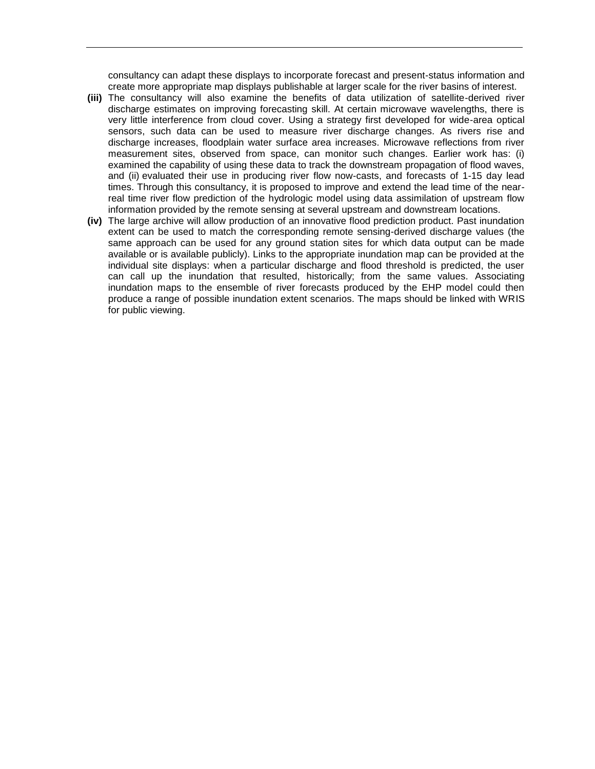consultancy can adapt these displays to incorporate forecast and present-status information and create more appropriate map displays publishable at larger scale for the river basins of interest.

- **(iii)** The consultancy will also examine the benefits of data utilization of satellite-derived river discharge estimates on improving forecasting skill. At certain microwave wavelengths, there is very little interference from cloud cover. Using a strategy first developed for wide-area optical sensors, such data can be used to measure river discharge changes. As rivers rise and discharge increases, floodplain water surface area increases. Microwave reflections from river measurement sites, observed from space, can monitor such changes. Earlier work has: (i) examined the capability of using these data to track the downstream propagation of flood waves, and (ii) evaluated their use in producing river flow now-casts, and forecasts of 1-15 day lead times. Through this consultancy, it is proposed to improve and extend the lead time of the nearreal time river flow prediction of the hydrologic model using data assimilation of upstream flow information provided by the remote sensing at several upstream and downstream locations.
- **(iv)** The large archive will allow production of an innovative flood prediction product. Past inundation extent can be used to match the corresponding remote sensing-derived discharge values (the same approach can be used for any ground station sites for which data output can be made available or is available publicly). Links to the appropriate inundation map can be provided at the individual site displays: when a particular discharge and flood threshold is predicted, the user can call up the inundation that resulted, historically; from the same values. Associating inundation maps to the ensemble of river forecasts produced by the EHP model could then produce a range of possible inundation extent scenarios. The maps should be linked with WRIS for public viewing.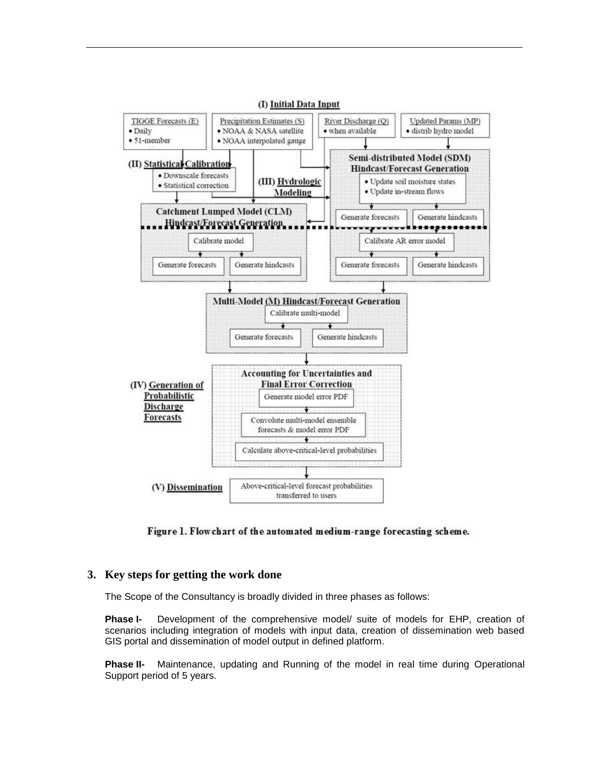

Figure 1. Flow chart of the automated medium-range forecasting scheme.

#### <span id="page-6-0"></span>**3. Key steps for getting the work done**

The Scope of the Consultancy is broadly divided in three phases as follows:

**Phase I-** Development of the comprehensive model/ suite of models for EHP, creation of scenarios including integration of models with input data, creation of dissemination web based GIS portal and dissemination of model output in defined platform.

**Phase II-** Maintenance, updating and Running of the model in real time during Operational Support period of 5 years.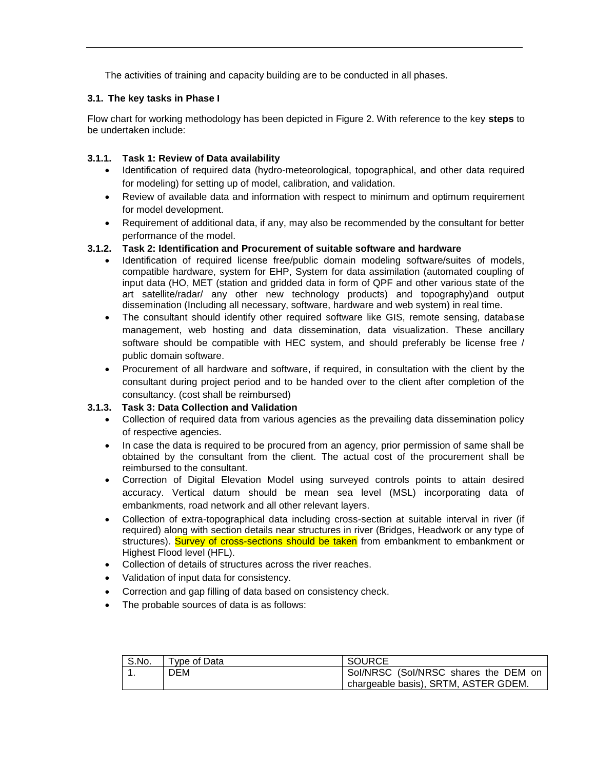The activities of training and capacity building are to be conducted in all phases.

## <span id="page-7-0"></span>**3.1. The key tasks in Phase I**

Flow chart for working methodology has been depicted in Figure 2. With reference to the key **steps** to be undertaken include:

## <span id="page-7-1"></span>**3.1.1. Task 1: Review of Data availability**

- Identification of required data (hydro-meteorological, topographical, and other data required for modeling) for setting up of model, calibration, and validation.
- Review of available data and information with respect to minimum and optimum requirement for model development.
- Requirement of additional data, if any, may also be recommended by the consultant for better performance of the model.

## <span id="page-7-3"></span><span id="page-7-2"></span>**3.1.2. Task 2: Identification and Procurement of suitable software and hardware**

- Identification of required license free/public domain modeling software/suites of models, compatible hardware, system for EHP, System for data assimilation (automated coupling of input data (HO, MET (station and gridded data in form of QPF and other various state of the art satellite/radar/ any other new technology products) and topography)and output dissemination (Including all necessary, software, hardware and web system) in real time.
- The consultant should identify other required software like GIS, remote sensing, database management, web hosting and data dissemination, data visualization. These ancillary software should be compatible with HEC system, and should preferably be license free / public domain software.
- Procurement of all hardware and software, if required, in consultation with the client by the consultant during project period and to be handed over to the client after completion of the consultancy. (cost shall be reimbursed)

# <span id="page-7-4"></span>**3.1.3. Task 3: Data Collection and Validation**

- Collection of required data from various agencies as the prevailing data dissemination policy of respective agencies.
- In case the data is required to be procured from an agency, prior permission of same shall be obtained by the consultant from the client. The actual cost of the procurement shall be reimbursed to the consultant.
- Correction of Digital Elevation Model using surveyed controls points to attain desired accuracy. Vertical datum should be mean sea level (MSL) incorporating data of embankments, road network and all other relevant layers.
- Collection of extra-topographical data including cross-section at suitable interval in river (if required) along with section details near structures in river (Bridges, Headwork or any type of structures). Survey of cross-sections should be taken from embankment to embankment or Highest Flood level (HFL).
- Collection of details of structures across the river reaches.
- Validation of input data for consistency.
- Correction and gap filling of data based on consistency check.
- The probable sources of data is as follows:

| S.No. | Tvpe of Data | <b>SOURCE</b>                        |
|-------|--------------|--------------------------------------|
|       | DEM          | Sol/NRSC (Sol/NRSC shares the DEM on |
|       |              | chargeable basis), SRTM, ASTER GDEM. |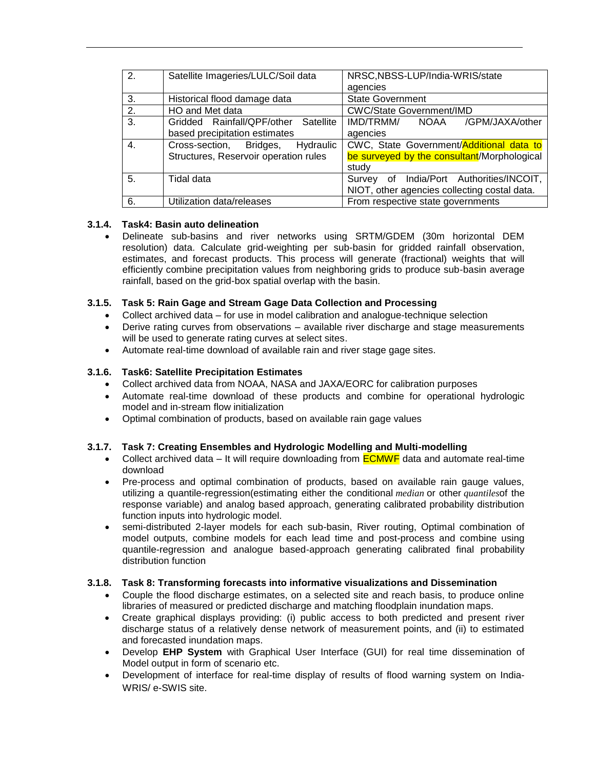| 2. | Satellite Imageries/LULC/Soil data                                               | NRSC, NBSS-LUP/India-WRIS/state<br>agencies                                                      |  |  |  |
|----|----------------------------------------------------------------------------------|--------------------------------------------------------------------------------------------------|--|--|--|
| 3. | Historical flood damage data                                                     | <b>State Government</b>                                                                          |  |  |  |
| 2. | HO and Met data                                                                  | <b>CWC/State Government/IMD</b>                                                                  |  |  |  |
| 3. | Gridded Rainfall/QPF/other Satellite<br>based precipitation estimates            | IMD/TRMM/<br>/GPM/JAXA/other<br>NOAA<br>agencies                                                 |  |  |  |
| 4. | Cross-section,<br>Bridges,<br>Hydraulic<br>Structures, Reservoir operation rules | CWC, State Government/Additional data to<br>be surveyed by the consultant/Morphological<br>study |  |  |  |
| 5. | Tidal data                                                                       | India/Port Authorities/INCOIT,<br>of<br>Survey<br>NIOT, other agencies collecting costal data.   |  |  |  |
| 6. | Utilization data/releases                                                        | From respective state governments                                                                |  |  |  |

## <span id="page-8-0"></span>**3.1.4. Task4: Basin auto delineation**

 Delineate sub-basins and river networks using SRTM/GDEM (30m horizontal DEM resolution) data. Calculate grid-weighting per sub-basin for gridded rainfall observation, estimates, and forecast products. This process will generate (fractional) weights that will efficiently combine precipitation values from neighboring grids to produce sub-basin average rainfall, based on the grid-box spatial overlap with the basin.

## <span id="page-8-1"></span>**3.1.5. Task 5: Rain Gage and Stream Gage Data Collection and Processing**

- Collect archived data for use in model calibration and analogue-technique selection
- Derive rating curves from observations available river discharge and stage measurements will be used to generate rating curves at select sites.
- Automate real-time download of available rain and river stage gage sites.

## <span id="page-8-2"></span>**3.1.6. Task6: Satellite Precipitation Estimates**

- Collect archived data from NOAA, NASA and JAXA/EORC for calibration purposes
- Automate real-time download of these products and combine for operational hydrologic model and in-stream flow initialization
- Optimal combination of products, based on available rain gage values

# <span id="page-8-3"></span>**3.1.7. Task 7: Creating Ensembles and Hydrologic Modelling and Multi-modelling**

- Collect archived data It will require downloading from  $\overline{ECMWF}$  data and automate real-time download
- Pre-process and optimal combination of products, based on available rain gauge values, utilizing a quantile-regression(estimating either the conditional *median* or other *quantiles*of the response variable) and analog based approach, generating calibrated probability distribution function inputs into hydrologic model.
- semi-distributed 2-layer models for each sub-basin, River routing, Optimal combination of model outputs, combine models for each lead time and post-process and combine using quantile-regression and analogue based-approach generating calibrated final probability distribution function

#### <span id="page-8-4"></span>**3.1.8. Task 8: Transforming forecasts into informative visualizations and Dissemination**

- Couple the flood discharge estimates, on a selected site and reach basis, to produce online libraries of measured or predicted discharge and matching floodplain inundation maps.
- Create graphical displays providing: (i) public access to both predicted and present river discharge status of a relatively dense network of measurement points, and (ii) to estimated and forecasted inundation maps.
- Develop **EHP System** with Graphical User Interface (GUI) for real time dissemination of Model output in form of scenario etc.
- Development of interface for real-time display of results of flood warning system on India-WRIS/ e-SWIS site.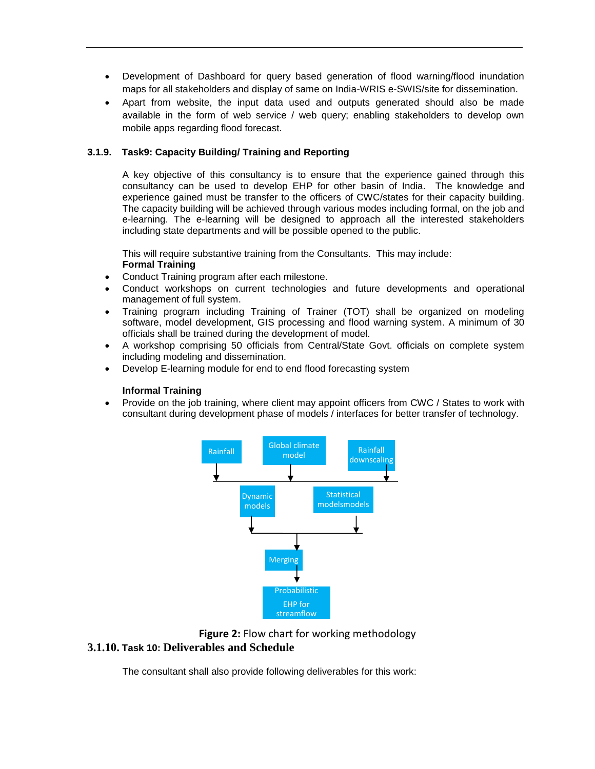- Development of Dashboard for query based generation of flood warning/flood inundation maps for all stakeholders and display of same on India-WRIS e-SWIS/site for dissemination.
- Apart from website, the input data used and outputs generated should also be made available in the form of web service / web query; enabling stakeholders to develop own mobile apps regarding flood forecast.

#### <span id="page-9-0"></span>**3.1.9. Task9: Capacity Building/ Training and Reporting**

A key objective of this consultancy is to ensure that the experience gained through this consultancy can be used to develop EHP for other basin of India. The knowledge and experience gained must be transfer to the officers of CWC/states for their capacity building. The capacity building will be achieved through various modes including formal, on the job and e-learning. The e-learning will be designed to approach all the interested stakeholders including state departments and will be possible opened to the public.

This will require substantive training from the Consultants. This may include: **Formal Training**

- Conduct Training program after each milestone.
- Conduct workshops on current technologies and future developments and operational management of full system.
- Training program including Training of Trainer (TOT) shall be organized on modeling software, model development, GIS processing and flood warning system. A minimum of 30 officials shall be trained during the development of model.
- A workshop comprising 50 officials from Central/State Govt. officials on complete system including modeling and dissemination.
- Develop E-learning module for end to end flood forecasting system

#### **Informal Training**

• Provide on the job training, where client may appoint officers from CWC / States to work with consultant during development phase of models / interfaces for better transfer of technology.





#### <span id="page-9-1"></span>**3.1.10. Task 10: Deliverables and Schedule**

The consultant shall also provide following deliverables for this work: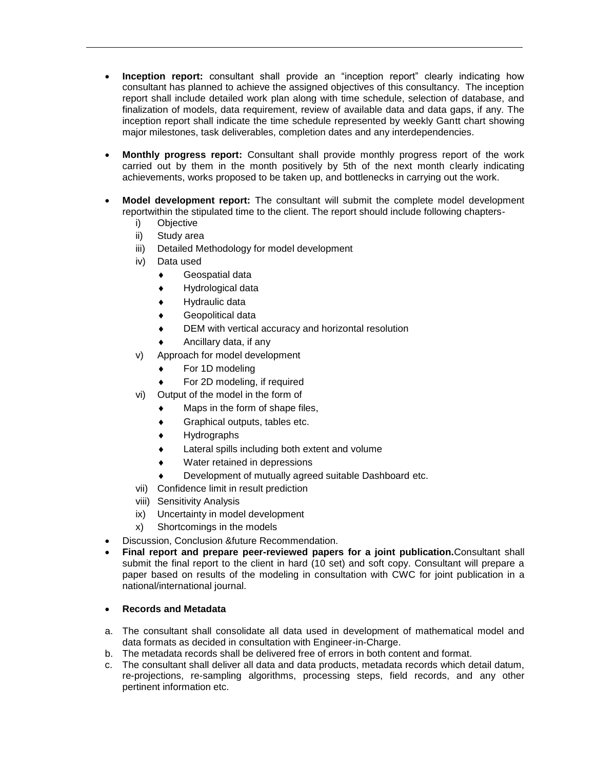- **Inception report:** consultant shall provide an "inception report" clearly indicating how consultant has planned to achieve the assigned objectives of this consultancy. The inception report shall include detailed work plan along with time schedule, selection of database, and finalization of models, data requirement, review of available data and data gaps, if any. The inception report shall indicate the time schedule represented by weekly Gantt chart showing major milestones, task deliverables, completion dates and any interdependencies.
- **Monthly progress report:** Consultant shall provide monthly progress report of the work carried out by them in the month positively by 5th of the next month clearly indicating achievements, works proposed to be taken up, and bottlenecks in carrying out the work.
- **Model development report:** The consultant will submit the complete model development reportwithin the stipulated time to the client. The report should include following chapters
	- i) Objective
	- ii) Study area
	- iii) Detailed Methodology for model development
	- iv) Data used
		- Geospatial data
		- Hydrological data
		- Hydraulic data
		- Geopolitical data
		- DEM with vertical accuracy and horizontal resolution
		- Ancillary data, if any
	- v) Approach for model development
		- For 1D modeling
		- For 2D modeling, if required
	- vi) Output of the model in the form of
		- $\bullet$  Maps in the form of shape files,
		- Graphical outputs, tables etc.
		- Hydrographs
		- Lateral spills including both extent and volume
		- Water retained in depressions
		- Development of mutually agreed suitable Dashboard etc.
	- vii) Confidence limit in result prediction
	- viii) Sensitivity Analysis
	- ix) Uncertainty in model development
	- x) Shortcomings in the models
- Discussion, Conclusion &future Recommendation.
- **Final report and prepare peer-reviewed papers for a joint publication.**Consultant shall submit the final report to the client in hard (10 set) and soft copy. Consultant will prepare a paper based on results of the modeling in consultation with CWC for joint publication in a national/international journal.

#### **Records and Metadata**

- a. The consultant shall consolidate all data used in development of mathematical model and data formats as decided in consultation with Engineer-in-Charge.
- b. The metadata records shall be delivered free of errors in both content and format.
- c. The consultant shall deliver all data and data products, metadata records which detail datum, re-projections, re-sampling algorithms, processing steps, field records, and any other pertinent information etc.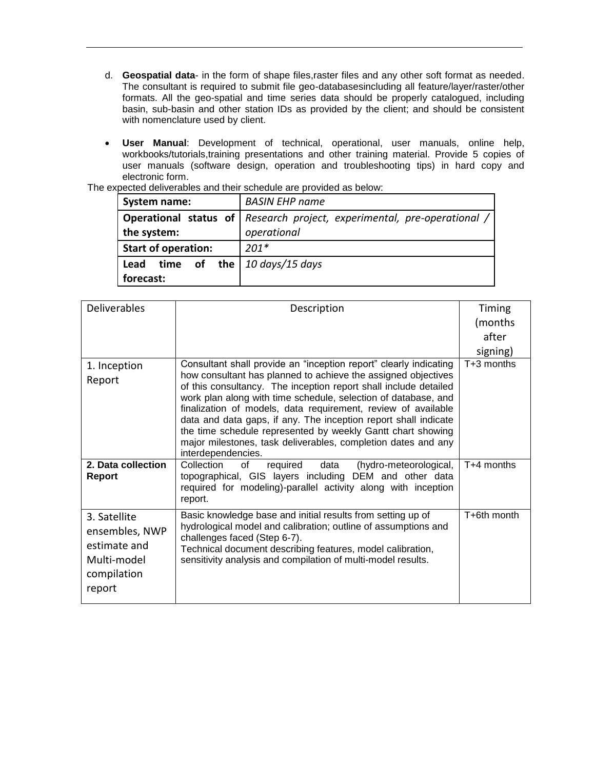- d. **Geospatial data** in the form of shape files,raster files and any other soft format as needed. The consultant is required to submit file geo-databasesincluding all feature/layer/raster/other formats. All the geo-spatial and time series data should be properly catalogued, including basin, sub-basin and other station IDs as provided by the client; and should be consistent with nomenclature used by client.
- **User Manual**: Development of technical, operational, user manuals, online help, workbooks/tutorials,training presentations and other training material. Provide 5 copies of user manuals (software design, operation and troubleshooting tips) in hard copy and electronic form.

| System name:                                             | <b>BASIN EHP name</b>                                                                         |
|----------------------------------------------------------|-----------------------------------------------------------------------------------------------|
| the system:                                              | <b>Operational status of Research project, experimental, pre-operational /</b><br>operational |
| <b>Start of operation:</b>                               | $201*$                                                                                        |
| time of the $10 \, days/15 \, days$<br>Lead<br>forecast: |                                                                                               |

The expected deliverables and their schedule are provided as below:

| <b>Deliverables</b> | Description                                                                                                                       | Timing       |
|---------------------|-----------------------------------------------------------------------------------------------------------------------------------|--------------|
|                     |                                                                                                                                   | (months      |
|                     |                                                                                                                                   | after        |
|                     |                                                                                                                                   | signing)     |
| 1. Inception        | Consultant shall provide an "inception report" clearly indicating                                                                 | $T+3$ months |
| Report              | how consultant has planned to achieve the assigned objectives<br>of this consultancy. The inception report shall include detailed |              |
|                     | work plan along with time schedule, selection of database, and                                                                    |              |
|                     | finalization of models, data requirement, review of available                                                                     |              |
|                     | data and data gaps, if any. The inception report shall indicate<br>the time schedule represented by weekly Gantt chart showing    |              |
|                     | major milestones, task deliverables, completion dates and any                                                                     |              |
|                     | interdependencies.                                                                                                                |              |
| 2. Data collection  | Collection<br>required<br>data<br>(hydro-meteorological,<br>0f                                                                    | T+4 months   |
| Report              | topographical, GIS layers including DEM and other data<br>required for modeling)-parallel activity along with inception           |              |
|                     | report.                                                                                                                           |              |
| 3. Satellite        | Basic knowledge base and initial results from setting up of                                                                       | T+6th month  |
| ensembles, NWP      | hydrological model and calibration; outline of assumptions and                                                                    |              |
| estimate and        | challenges faced (Step 6-7).                                                                                                      |              |
| Multi-model         | Technical document describing features, model calibration,<br>sensitivity analysis and compilation of multi-model results.        |              |
| compilation         |                                                                                                                                   |              |
| report              |                                                                                                                                   |              |
|                     |                                                                                                                                   |              |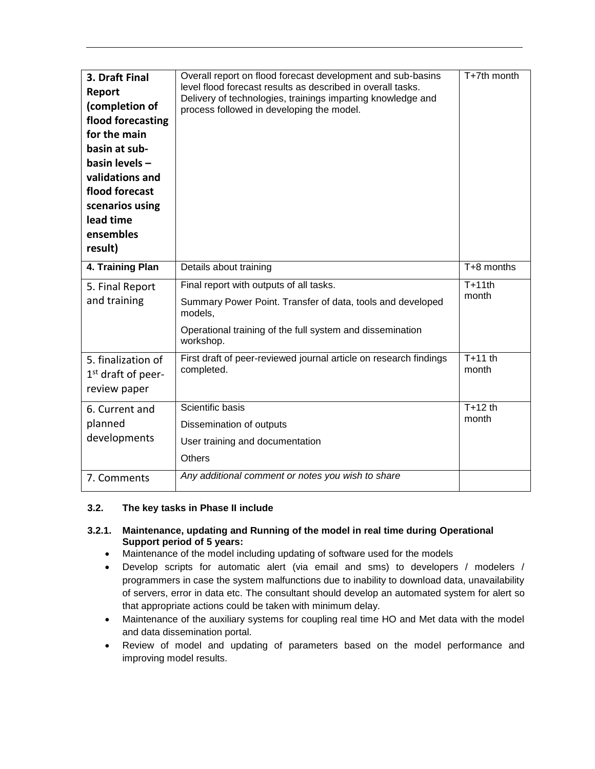| 3. Draft Final<br>Report<br>(completion of<br>flood forecasting<br>for the main<br>basin at sub-<br>basin levels -<br>validations and<br>flood forecast<br>scenarios using<br>lead time<br>ensembles<br>result) | Overall report on flood forecast development and sub-basins<br>level flood forecast results as described in overall tasks.<br>Delivery of technologies, trainings imparting knowledge and<br>process followed in developing the model. | T+7th month        |
|-----------------------------------------------------------------------------------------------------------------------------------------------------------------------------------------------------------------|----------------------------------------------------------------------------------------------------------------------------------------------------------------------------------------------------------------------------------------|--------------------|
| 4. Training Plan                                                                                                                                                                                                | Details about training                                                                                                                                                                                                                 | $T+8$ months       |
| 5. Final Report<br>and training                                                                                                                                                                                 | Final report with outputs of all tasks.<br>Summary Power Point. Transfer of data, tools and developed<br>models,<br>Operational training of the full system and dissemination<br>workshop.                                             | $T+11th$<br>month  |
| 5. finalization of<br>$1st$ draft of peer-<br>review paper                                                                                                                                                      | First draft of peer-reviewed journal article on research findings<br>completed.                                                                                                                                                        | $T+11$ th<br>month |
| 6. Current and<br>planned<br>developments                                                                                                                                                                       | Scientific basis<br>Dissemination of outputs<br>User training and documentation<br><b>Others</b>                                                                                                                                       | $T+12$ th<br>month |
| 7. Comments                                                                                                                                                                                                     | Any additional comment or notes you wish to share                                                                                                                                                                                      |                    |

#### <span id="page-12-0"></span>**3.2. The key tasks in Phase II include**

#### <span id="page-12-1"></span>**3.2.1. Maintenance, updating and Running of the model in real time during Operational Support period of 5 years:**

- Maintenance of the model including updating of software used for the models
- Develop scripts for automatic alert (via email and sms) to developers / modelers / programmers in case the system malfunctions due to inability to download data, unavailability of servers, error in data etc. The consultant should develop an automated system for alert so that appropriate actions could be taken with minimum delay.
- Maintenance of the auxiliary systems for coupling real time HO and Met data with the model and data dissemination portal.
- Review of model and updating of parameters based on the model performance and improving model results.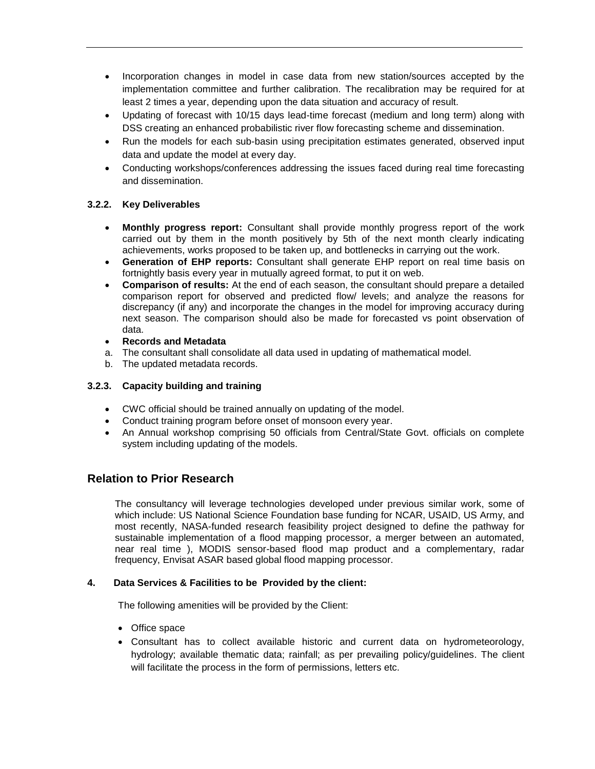- Incorporation changes in model in case data from new station/sources accepted by the implementation committee and further calibration. The recalibration may be required for at least 2 times a year, depending upon the data situation and accuracy of result.
- Updating of forecast with 10/15 days lead-time forecast (medium and long term) along with DSS creating an enhanced probabilistic river flow forecasting scheme and dissemination.
- Run the models for each sub-basin using precipitation estimates generated, observed input data and update the model at every day.
- Conducting workshops/conferences addressing the issues faced during real time forecasting and dissemination.

#### <span id="page-13-0"></span>**3.2.2. Key Deliverables**

- **Monthly progress report:** Consultant shall provide monthly progress report of the work carried out by them in the month positively by 5th of the next month clearly indicating achievements, works proposed to be taken up, and bottlenecks in carrying out the work.
- **Generation of EHP reports:** Consultant shall generate EHP report on real time basis on fortnightly basis every year in mutually agreed format, to put it on web.
- **Comparison of results:** At the end of each season, the consultant should prepare a detailed comparison report for observed and predicted flow/ levels; and analyze the reasons for discrepancy (if any) and incorporate the changes in the model for improving accuracy during next season. The comparison should also be made for forecasted vs point observation of data.
- **Records and Metadata**
- a. The consultant shall consolidate all data used in updating of mathematical model.
- b. The updated metadata records.

## <span id="page-13-1"></span>**3.2.3. Capacity building and training**

- CWC official should be trained annually on updating of the model.
- Conduct training program before onset of monsoon every year.
- An Annual workshop comprising 50 officials from Central/State Govt. officials on complete system including updating of the models.

# **Relation to Prior Research**

The consultancy will leverage technologies developed under previous similar work, some of which include: US National Science Foundation base funding for NCAR, USAID, US Army, and most recently, NASA-funded research feasibility project designed to define the pathway for sustainable implementation of a flood mapping processor, a merger between an automated, near real time ), MODIS sensor-based flood map product and a complementary, radar frequency, Envisat ASAR based global flood mapping processor.

#### <span id="page-13-2"></span>**4. Data Services & Facilities to be Provided by the client:**

The following amenities will be provided by the Client:

- Office space
- Consultant has to collect available historic and current data on hydrometeorology, hydrology; available thematic data; rainfall; as per prevailing policy/guidelines. The client will facilitate the process in the form of permissions, letters etc.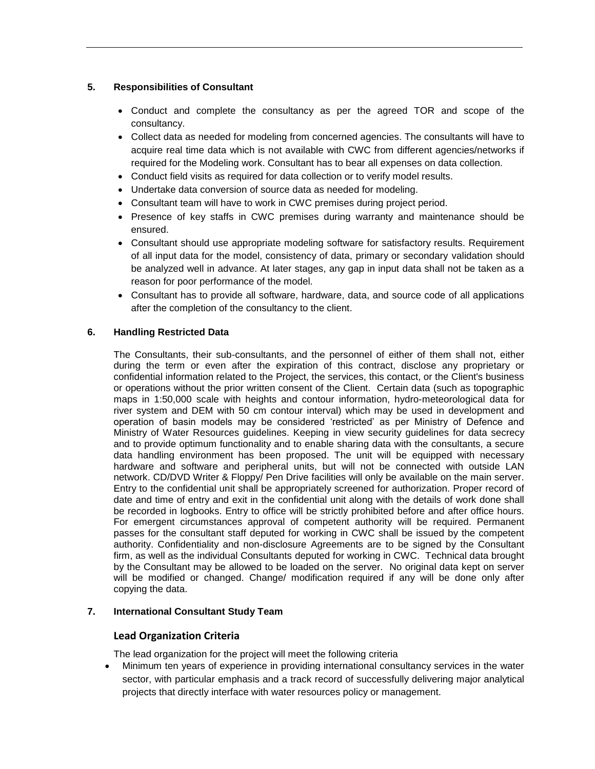#### <span id="page-14-0"></span>**5. Responsibilities of Consultant**

- Conduct and complete the consultancy as per the agreed TOR and scope of the consultancy.
- Collect data as needed for modeling from concerned agencies. The consultants will have to acquire real time data which is not available with CWC from different agencies/networks if required for the Modeling work. Consultant has to bear all expenses on data collection.
- Conduct field visits as required for data collection or to verify model results.
- Undertake data conversion of source data as needed for modeling.
- Consultant team will have to work in CWC premises during project period.
- Presence of key staffs in CWC premises during warranty and maintenance should be ensured.
- Consultant should use appropriate modeling software for satisfactory results. Requirement of all input data for the model, consistency of data, primary or secondary validation should be analyzed well in advance. At later stages, any gap in input data shall not be taken as a reason for poor performance of the model.
- Consultant has to provide all software, hardware, data, and source code of all applications after the completion of the consultancy to the client.

#### <span id="page-14-1"></span>**6. Handling Restricted Data**

The Consultants, their sub-consultants, and the personnel of either of them shall not, either during the term or even after the expiration of this contract, disclose any proprietary or confidential information related to the Project, the services, this contact, or the Client's business or operations without the prior written consent of the Client. Certain data (such as topographic maps in 1:50,000 scale with heights and contour information, hydro-meteorological data for river system and DEM with 50 cm contour interval) which may be used in development and operation of basin models may be considered 'restricted' as per Ministry of Defence and Ministry of Water Resources guidelines. Keeping in view security guidelines for data secrecy and to provide optimum functionality and to enable sharing data with the consultants, a secure data handling environment has been proposed. The unit will be equipped with necessary hardware and software and peripheral units, but will not be connected with outside LAN network. CD/DVD Writer & Floppy/ Pen Drive facilities will only be available on the main server. Entry to the confidential unit shall be appropriately screened for authorization. Proper record of date and time of entry and exit in the confidential unit along with the details of work done shall be recorded in logbooks. Entry to office will be strictly prohibited before and after office hours. For emergent circumstances approval of competent authority will be required. Permanent passes for the consultant staff deputed for working in CWC shall be issued by the competent authority. Confidentiality and non-disclosure Agreements are to be signed by the Consultant firm, as well as the individual Consultants deputed for working in CWC. Technical data brought by the Consultant may be allowed to be loaded on the server. No original data kept on server will be modified or changed. Change/ modification required if any will be done only after copying the data.

#### <span id="page-14-2"></span>**7. International Consultant Study Team**

#### **Lead Organization Criteria**

The lead organization for the project will meet the following criteria

 Minimum ten years of experience in providing international consultancy services in the water sector, with particular emphasis and a track record of successfully delivering major analytical projects that directly interface with water resources policy or management.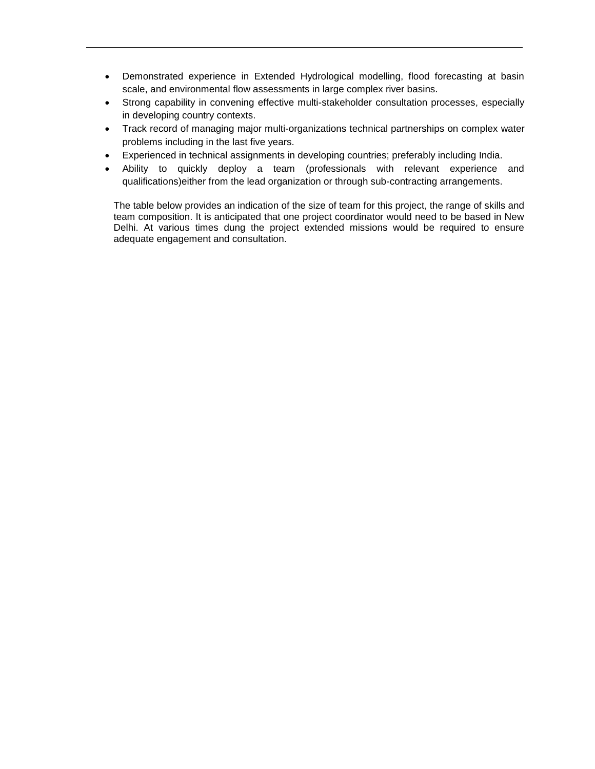- Demonstrated experience in Extended Hydrological modelling, flood forecasting at basin scale, and environmental flow assessments in large complex river basins.
- Strong capability in convening effective multi-stakeholder consultation processes, especially in developing country contexts.
- Track record of managing major multi-organizations technical partnerships on complex water problems including in the last five years.
- Experienced in technical assignments in developing countries; preferably including India.
- Ability to quickly deploy a team (professionals with relevant experience and qualifications)either from the lead organization or through sub-contracting arrangements.

The table below provides an indication of the size of team for this project, the range of skills and team composition. It is anticipated that one project coordinator would need to be based in New Delhi. At various times dung the project extended missions would be required to ensure adequate engagement and consultation.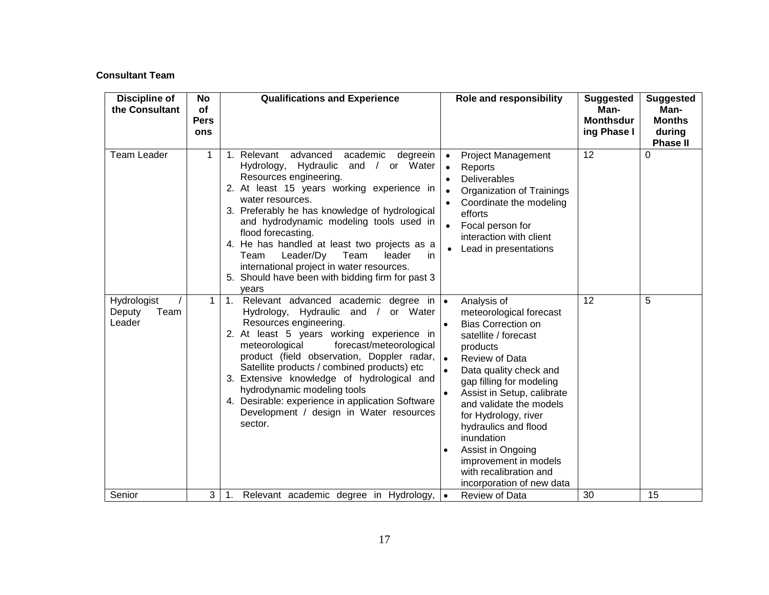# **Consultant Team**

| <b>Discipline of</b><br>the Consultant  | No<br>of<br><b>Pers</b><br>ons | <b>Qualifications and Experience</b>                                                                                                                                                                                                                                                                                                                                                                                                                                                                          |                                                  | Role and responsibility                                                                                                                                                                                                                                                                                                                                                                                     | <b>Suggested</b><br>Man-<br><b>Monthsdur</b><br>ing Phase I | <b>Suggested</b><br>Man-<br><b>Months</b><br>during |
|-----------------------------------------|--------------------------------|---------------------------------------------------------------------------------------------------------------------------------------------------------------------------------------------------------------------------------------------------------------------------------------------------------------------------------------------------------------------------------------------------------------------------------------------------------------------------------------------------------------|--------------------------------------------------|-------------------------------------------------------------------------------------------------------------------------------------------------------------------------------------------------------------------------------------------------------------------------------------------------------------------------------------------------------------------------------------------------------------|-------------------------------------------------------------|-----------------------------------------------------|
| <b>Team Leader</b>                      | 1                              | 1. Relevant advanced<br>academic<br>degreein<br>Hydrology, Hydraulic and /<br>or Water<br>Resources engineering.<br>2. At least 15 years working experience in<br>water resources.<br>3. Preferably he has knowledge of hydrological<br>and hydrodynamic modeling tools used in<br>flood forecasting.<br>4. He has handled at least two projects as a<br>Leader/Dy<br>Team<br>Team<br>leader<br>in.<br>international project in water resources.<br>5. Should have been with bidding firm for past 3<br>years | $\bullet$<br>$\bullet$<br>$\bullet$<br>$\bullet$ | <b>Project Management</b><br>Reports<br>Deliverables<br>Organization of Trainings<br>Coordinate the modeling<br>efforts<br>Focal person for<br>interaction with client<br>Lead in presentations                                                                                                                                                                                                             | 12                                                          | <b>Phase II</b><br>0                                |
| Hydrologist<br>Deputy<br>Team<br>Leader | 1                              | 1. Relevant advanced academic degree in  .<br>Hydrology, Hydraulic and /<br>or Water<br>Resources engineering.<br>2. At least 5 years working experience in<br>meteorological<br>forecast/meteorological<br>product (field observation, Doppler radar,<br>Satellite products / combined products) etc<br>3. Extensive knowledge of hydrological and<br>hydrodynamic modeling tools<br>4. Desirable: experience in application Software<br>Development / design in Water resources<br>sector.                  | $\bullet$<br>$\bullet$                           | Analysis of<br>meteorological forecast<br><b>Bias Correction on</b><br>satellite / forecast<br>products<br>Review of Data<br>Data quality check and<br>gap filling for modeling<br>Assist in Setup, calibrate<br>and validate the models<br>for Hydrology, river<br>hydraulics and flood<br>inundation<br>Assist in Ongoing<br>improvement in models<br>with recalibration and<br>incorporation of new data | 12                                                          | 5                                                   |
| Senior                                  | 3                              | Relevant academic degree in Hydrology,<br>1.                                                                                                                                                                                                                                                                                                                                                                                                                                                                  | $\bullet$                                        | Review of Data                                                                                                                                                                                                                                                                                                                                                                                              | 30                                                          | 15                                                  |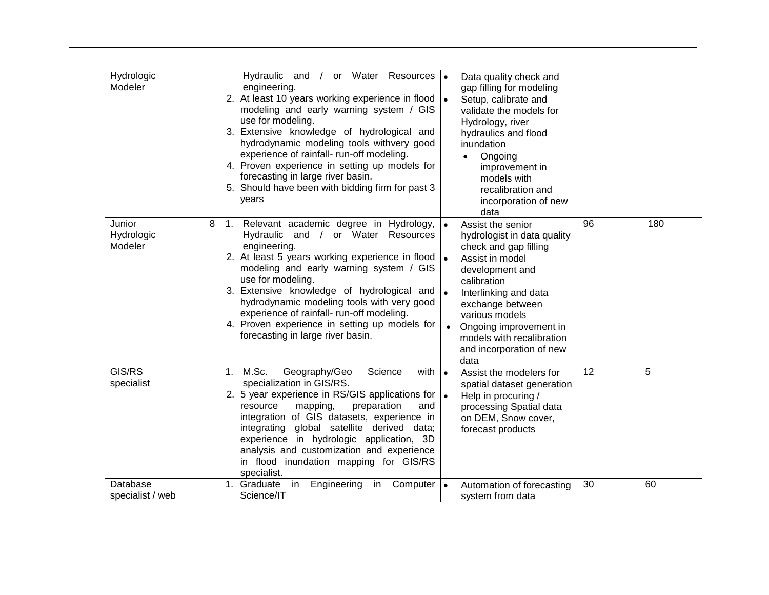| Hydrologic<br>Modeler           |   | Hydraulic and / or Water Resources  .<br>engineering.<br>2. At least 10 years working experience in flood $\vert \bullet \vert$<br>modeling and early warning system / GIS<br>use for modeling.<br>3. Extensive knowledge of hydrological and<br>hydrodynamic modeling tools withvery good<br>experience of rainfall- run-off modeling.<br>4. Proven experience in setting up models for<br>forecasting in large river basin.<br>5. Should have been with bidding firm for past 3<br>years |           | Data quality check and<br>gap filling for modeling<br>Setup, calibrate and<br>validate the models for<br>Hydrology, river<br>hydraulics and flood<br>inundation<br>Ongoing<br>$\bullet$<br>improvement in<br>models with<br>recalibration and<br>incorporation of new<br>data            |    |     |
|---------------------------------|---|--------------------------------------------------------------------------------------------------------------------------------------------------------------------------------------------------------------------------------------------------------------------------------------------------------------------------------------------------------------------------------------------------------------------------------------------------------------------------------------------|-----------|------------------------------------------------------------------------------------------------------------------------------------------------------------------------------------------------------------------------------------------------------------------------------------------|----|-----|
| Junior<br>Hydrologic<br>Modeler | 8 | 1. Relevant academic degree in Hydrology, $\bullet$<br>Hydraulic and / or Water Resources<br>engineering.<br>2. At least 5 years working experience in flood $\cdot$<br>modeling and early warning system / GIS<br>use for modeling.<br>3. Extensive knowledge of hydrological and  .<br>hydrodynamic modeling tools with very good<br>experience of rainfall- run-off modeling.<br>4. Proven experience in setting up models for<br>forecasting in large river basin.                     |           | Assist the senior<br>hydrologist in data quality<br>check and gap filling<br>Assist in model<br>development and<br>calibration<br>Interlinking and data<br>exchange between<br>various models<br>Ongoing improvement in<br>models with recalibration<br>and incorporation of new<br>data | 96 | 180 |
| GIS/RS<br>specialist            |   | 1. M.Sc.<br>Geography/Geo<br>Science<br>with  <br>specialization in GIS/RS.<br>2. 5 year experience in RS/GIS applications for  .<br>preparation<br>resource<br>mapping,<br>and<br>integration of GIS datasets, experience in<br>integrating global satellite derived data;<br>experience in hydrologic application, 3D<br>analysis and customization and experience<br>in flood inundation mapping for GIS/RS<br>specialist.                                                              | $\bullet$ | Assist the modelers for<br>spatial dataset generation<br>Help in procuring /<br>processing Spatial data<br>on DEM, Snow cover,<br>forecast products                                                                                                                                      | 12 | 5   |
| Database<br>specialist / web    |   | 1. Graduate<br>in<br>Engineering<br>Computer<br>in<br>Science/IT                                                                                                                                                                                                                                                                                                                                                                                                                           |           | Automation of forecasting<br>system from data                                                                                                                                                                                                                                            | 30 | 60  |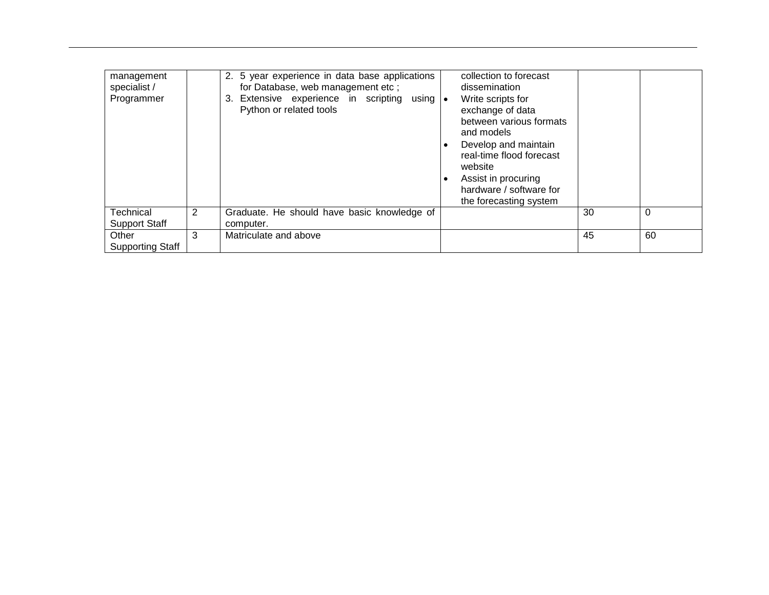| management<br>specialist /<br>Programmer |   | 2. 5 year experience in data base applications<br>for Database, web management etc;<br>3. Extensive experience in scripting using •<br>Python or related tools | collection to forecast<br>dissemination<br>Write scripts for<br>exchange of data<br>between various formats                                           |    |    |
|------------------------------------------|---|----------------------------------------------------------------------------------------------------------------------------------------------------------------|-------------------------------------------------------------------------------------------------------------------------------------------------------|----|----|
|                                          |   |                                                                                                                                                                | and models<br>Develop and maintain<br>real-time flood forecast<br>website<br>Assist in procuring<br>hardware / software for<br>the forecasting system |    |    |
| Technical                                | 2 | Graduate. He should have basic knowledge of                                                                                                                    |                                                                                                                                                       | 30 | 0  |
| <b>Support Staff</b>                     |   | computer.                                                                                                                                                      |                                                                                                                                                       |    |    |
| Other<br><b>Supporting Staff</b>         | 3 | Matriculate and above                                                                                                                                          |                                                                                                                                                       | 45 | 60 |